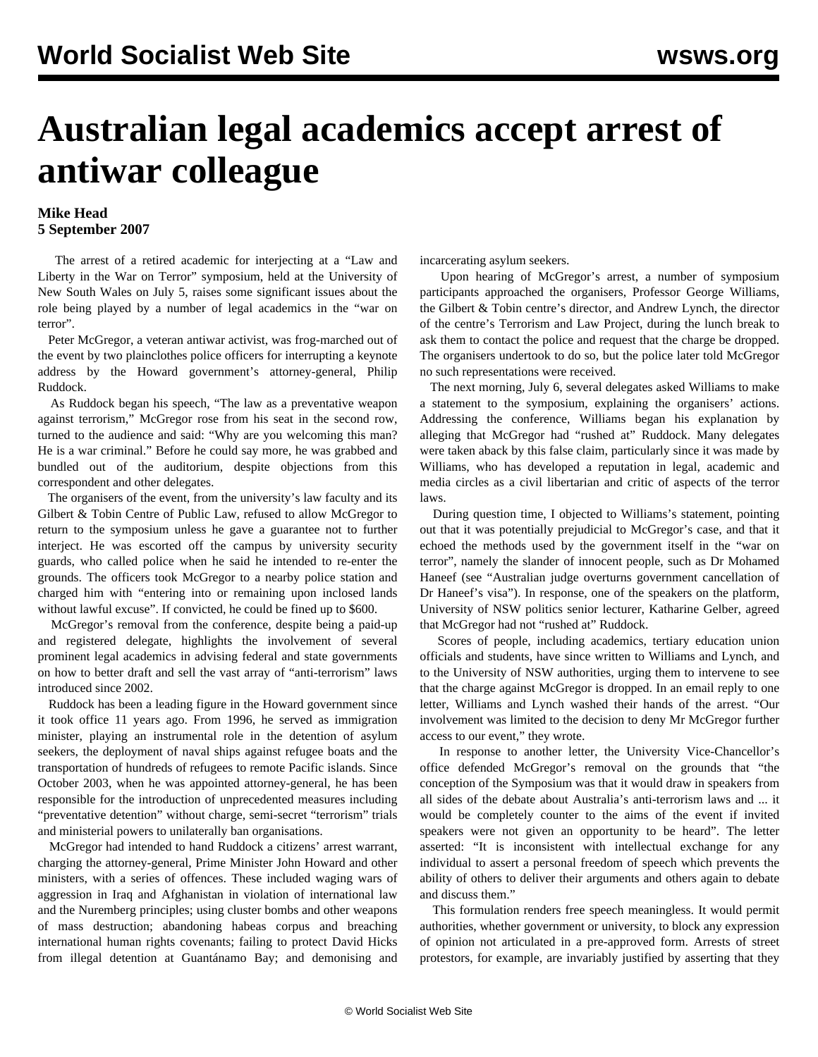## **Australian legal academics accept arrest of antiwar colleague**

## **Mike Head 5 September 2007**

 The arrest of a retired academic for interjecting at a "Law and Liberty in the War on Terror" symposium, held at the University of New South Wales on July 5, raises some significant issues about the role being played by a number of legal academics in the "war on terror".

 Peter McGregor, a veteran antiwar activist, was frog-marched out of the event by two plainclothes police officers for interrupting a keynote address by the Howard government's attorney-general, Philip Ruddock.

 As Ruddock began his speech, "The law as a preventative weapon against terrorism," McGregor rose from his seat in the second row, turned to the audience and said: "Why are you welcoming this man? He is a war criminal." Before he could say more, he was grabbed and bundled out of the auditorium, despite objections from this correspondent and other delegates.

 The organisers of the event, from the university's law faculty and its Gilbert & Tobin Centre of Public Law, refused to allow McGregor to return to the symposium unless he gave a guarantee not to further interject. He was escorted off the campus by university security guards, who called police when he said he intended to re-enter the grounds. The officers took McGregor to a nearby police station and charged him with "entering into or remaining upon inclosed lands without lawful excuse". If convicted, he could be fined up to \$600.

 McGregor's removal from the conference, despite being a paid-up and registered delegate, highlights the involvement of several prominent legal academics in advising federal and state governments on how to better draft and sell the vast array of "anti-terrorism" laws introduced since 2002.

 Ruddock has been a leading figure in the Howard government since it took office 11 years ago. From 1996, he served as immigration minister, playing an instrumental role in the detention of asylum seekers, the deployment of naval ships against refugee boats and the transportation of hundreds of refugees to remote Pacific islands. Since October 2003, when he was appointed attorney-general, he has been responsible for the introduction of unprecedented measures including "preventative detention" without charge, semi-secret "terrorism" trials and ministerial powers to unilaterally ban organisations.

 McGregor had intended to hand Ruddock a citizens' arrest warrant, charging the attorney-general, Prime Minister John Howard and other ministers, with a series of offences. These included waging wars of aggression in Iraq and Afghanistan in violation of international law and the Nuremberg principles; using cluster bombs and other weapons of mass destruction; abandoning habeas corpus and breaching international human rights covenants; failing to protect David Hicks from illegal detention at Guantánamo Bay; and demonising and

incarcerating asylum seekers.

 Upon hearing of McGregor's arrest, a number of symposium participants approached the organisers, Professor George Williams, the Gilbert & Tobin centre's director, and Andrew Lynch, the director of the centre's Terrorism and Law Project, during the lunch break to ask them to contact the police and request that the charge be dropped. The organisers undertook to do so, but the police later told McGregor no such representations were received.

 The next morning, July 6, several delegates asked Williams to make a statement to the symposium, explaining the organisers' actions. Addressing the conference, Williams began his explanation by alleging that McGregor had "rushed at" Ruddock. Many delegates were taken aback by this false claim, particularly since it was made by Williams, who has developed a reputation in legal, academic and media circles as a civil libertarian and critic of aspects of the terror laws.

 During question time, I objected to Williams's statement, pointing out that it was potentially prejudicial to McGregor's case, and that it echoed the methods used by the government itself in the "war on terror", namely the slander of innocent people, such as Dr Mohamed Haneef (see ["Australian judge overturns government cancellation of](../aug2007/hane-a24.shtml) [Dr Haneef's visa"](../aug2007/hane-a24.shtml)). In response, one of the speakers on the platform, University of NSW politics senior lecturer, Katharine Gelber, agreed that McGregor had not "rushed at" Ruddock.

 Scores of people, including academics, tertiary education union officials and students, have since written to Williams and Lynch, and to the University of NSW authorities, urging them to intervene to see that the charge against McGregor is dropped. In an email reply to one letter, Williams and Lynch washed their hands of the arrest. "Our involvement was limited to the decision to deny Mr McGregor further access to our event," they wrote.

 In response to another letter, the University Vice-Chancellor's office defended McGregor's removal on the grounds that "the conception of the Symposium was that it would draw in speakers from all sides of the debate about Australia's anti-terrorism laws and ... it would be completely counter to the aims of the event if invited speakers were not given an opportunity to be heard". The letter asserted: "It is inconsistent with intellectual exchange for any individual to assert a personal freedom of speech which prevents the ability of others to deliver their arguments and others again to debate and discuss them."

 This formulation renders free speech meaningless. It would permit authorities, whether government or university, to block any expression of opinion not articulated in a pre-approved form. Arrests of street protestors, for example, are invariably justified by asserting that they